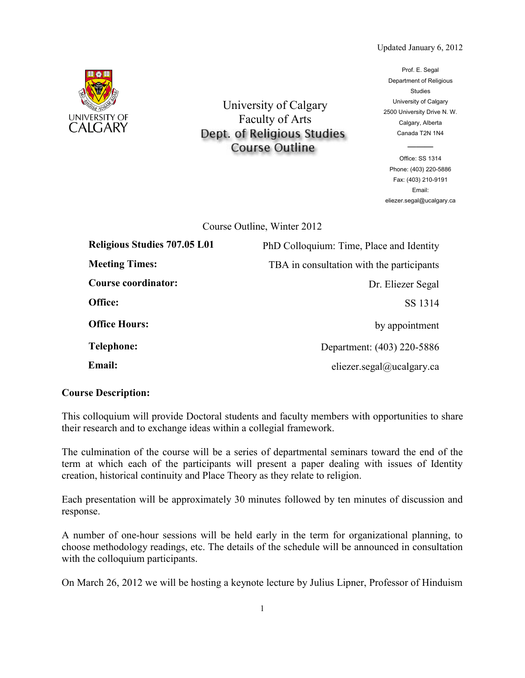## Updated January 6, 2012



University of Calgary Faculty of Arts Dept. of Religious Studies **Course Outline** 

Prof. E. Segal Department of Religious Studies University of Calgary 2500 University Drive N. W. Calgary, Alberta Canada T2N 1N4

Office: SS 1314 Phone: (403) 220-5886 Fax: (403) 210-9191 Email: eliezer.segal@ucalgary.ca

———

Course Outline, Winter 2012

| <b>Religious Studies 707.05 L01</b> | PhD Colloquium: Time, Place and Identity  |
|-------------------------------------|-------------------------------------------|
| <b>Meeting Times:</b>               | TBA in consultation with the participants |
| <b>Course coordinator:</b>          | Dr. Eliezer Segal                         |
| Office:                             | SS 1314                                   |
| <b>Office Hours:</b>                | by appointment                            |
| <b>Telephone:</b>                   | Department: (403) 220-5886                |
| <b>Email:</b>                       | eliezer.segal@ucalgary.ca                 |

## **Course Description:**

This colloquium will provide Doctoral students and faculty members with opportunities to share their research and to exchange ideas within a collegial framework.

The culmination of the course will be a series of departmental seminars toward the end of the term at which each of the participants will present a paper dealing with issues of Identity creation, historical continuity and Place Theory as they relate to religion.

Each presentation will be approximately 30 minutes followed by ten minutes of discussion and response.

A number of one-hour sessions will be held early in the term for organizational planning, to choose methodology readings, etc. The details of the schedule will be announced in consultation with the colloquium participants.

On March 26, 2012 we will be hosting a keynote lecture by Julius Lipner, Professor of Hinduism